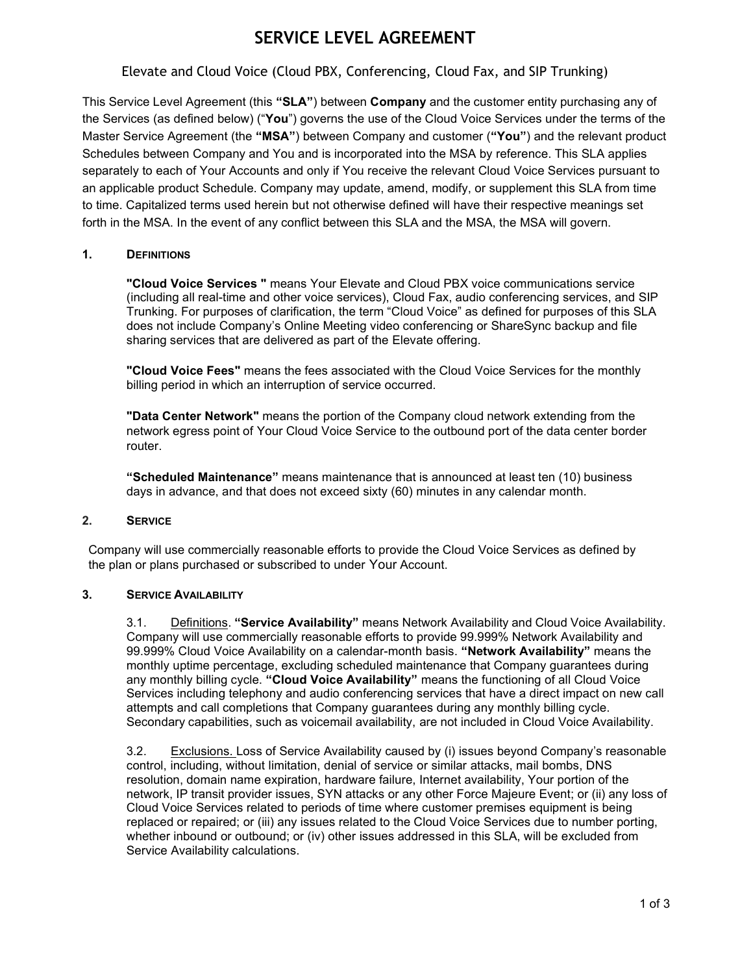# SERVICE LEVEL AGREEMENT

## Elevate and Cloud Voice (Cloud PBX, Conferencing, Cloud Fax, and SIP Trunking)

This Service Level Agreement (this "SLA") between Company and the customer entity purchasing any of the Services (as defined below) ("You") governs the use of the Cloud Voice Services under the terms of the Master Service Agreement (the "MSA") between Company and customer ("You") and the relevant product Schedules between Company and You and is incorporated into the MSA by reference. This SLA applies separately to each of Your Accounts and only if You receive the relevant Cloud Voice Services pursuant to an applicable product Schedule. Company may update, amend, modify, or supplement this SLA from time to time. Capitalized terms used herein but not otherwise defined will have their respective meanings set forth in the MSA. In the event of any conflict between this SLA and the MSA, the MSA will govern.

### 1. DEFINITIONS

"Cloud Voice Services " means Your Elevate and Cloud PBX voice communications service (including all real-time and other voice services), Cloud Fax, audio conferencing services, and SIP Trunking. For purposes of clarification, the term "Cloud Voice" as defined for purposes of this SLA does not include Company's Online Meeting video conferencing or ShareSync backup and file sharing services that are delivered as part of the Elevate offering.

"Cloud Voice Fees" means the fees associated with the Cloud Voice Services for the monthly billing period in which an interruption of service occurred.

"Data Center Network" means the portion of the Company cloud network extending from the network egress point of Your Cloud Voice Service to the outbound port of the data center border router.

"Scheduled Maintenance" means maintenance that is announced at least ten (10) business days in advance, and that does not exceed sixty (60) minutes in any calendar month.

### 2. SERVICE

Company will use commercially reasonable efforts to provide the Cloud Voice Services as defined by the plan or plans purchased or subscribed to under Your Account.

### 3. SERVICE AVAILABILITY

3.1. Definitions. "Service Availability" means Network Availability and Cloud Voice Availability. Company will use commercially reasonable efforts to provide 99.999% Network Availability and 99.999% Cloud Voice Availability on a calendar-month basis. "Network Availability" means the monthly uptime percentage, excluding scheduled maintenance that Company guarantees during any monthly billing cycle. "Cloud Voice Availability" means the functioning of all Cloud Voice Services including telephony and audio conferencing services that have a direct impact on new call attempts and call completions that Company guarantees during any monthly billing cycle. Secondary capabilities, such as voicemail availability, are not included in Cloud Voice Availability.

3.2. Exclusions. Loss of Service Availability caused by (i) issues beyond Company's reasonable control, including, without limitation, denial of service or similar attacks, mail bombs, DNS resolution, domain name expiration, hardware failure, Internet availability, Your portion of the network, IP transit provider issues, SYN attacks or any other Force Majeure Event; or (ii) any loss of Cloud Voice Services related to periods of time where customer premises equipment is being replaced or repaired; or (iii) any issues related to the Cloud Voice Services due to number porting, whether inbound or outbound; or (iv) other issues addressed in this SLA, will be excluded from Service Availability calculations.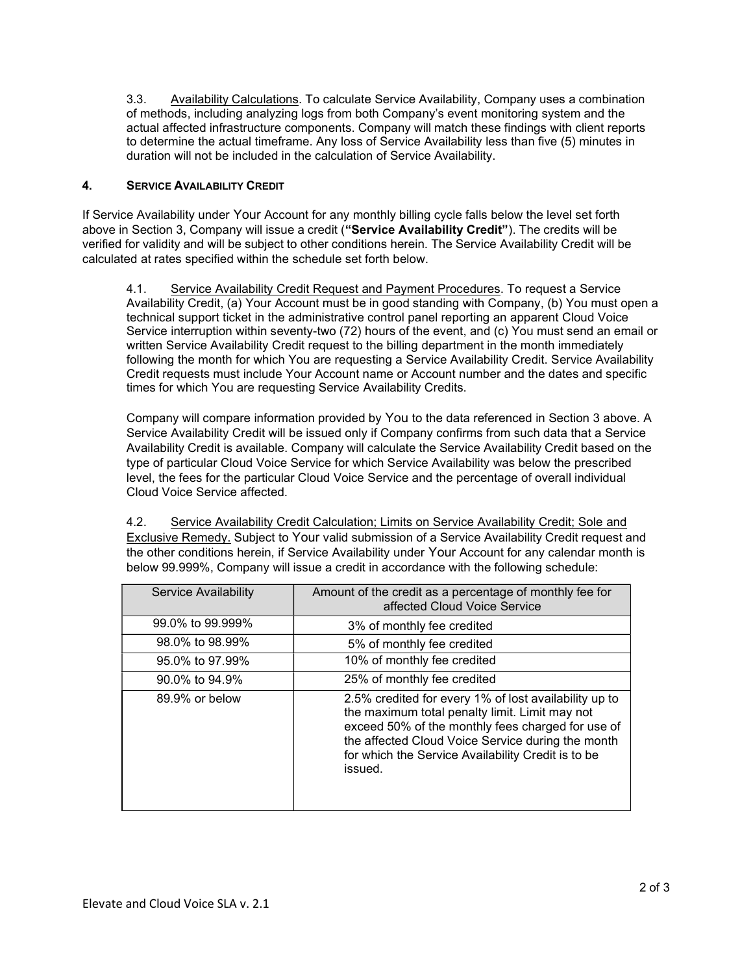3.3. Availability Calculations. To calculate Service Availability, Company uses a combination of methods, including analyzing logs from both Company's event monitoring system and the actual affected infrastructure components. Company will match these findings with client reports to determine the actual timeframe. Any loss of Service Availability less than five (5) minutes in duration will not be included in the calculation of Service Availability.

### 4. SERVICE AVAILABILITY CREDIT

If Service Availability under Your Account for any monthly billing cycle falls below the level set forth above in Section 3, Company will issue a credit ("Service Availability Credit"). The credits will be verified for validity and will be subject to other conditions herein. The Service Availability Credit will be calculated at rates specified within the schedule set forth below.

4.1. Service Availability Credit Request and Payment Procedures. To request a Service Availability Credit, (a) Your Account must be in good standing with Company, (b) You must open a technical support ticket in the administrative control panel reporting an apparent Cloud Voice Service interruption within seventy-two (72) hours of the event, and (c) You must send an email or written Service Availability Credit request to the billing department in the month immediately following the month for which You are requesting a Service Availability Credit. Service Availability Credit requests must include Your Account name or Account number and the dates and specific times for which You are requesting Service Availability Credits.

Company will compare information provided by You to the data referenced in Section 3 above. A Service Availability Credit will be issued only if Company confirms from such data that a Service Availability Credit is available. Company will calculate the Service Availability Credit based on the type of particular Cloud Voice Service for which Service Availability was below the prescribed level, the fees for the particular Cloud Voice Service and the percentage of overall individual Cloud Voice Service affected.

4.2. Service Availability Credit Calculation; Limits on Service Availability Credit; Sole and Exclusive Remedy. Subject to Your valid submission of a Service Availability Credit request and the other conditions herein, if Service Availability under Your Account for any calendar month is below 99.999%, Company will issue a credit in accordance with the following schedule:

| Service Availability | Amount of the credit as a percentage of monthly fee for<br>affected Cloud Voice Service                                                                                                                                                                                            |
|----------------------|------------------------------------------------------------------------------------------------------------------------------------------------------------------------------------------------------------------------------------------------------------------------------------|
| 99.0% to 99.999%     | 3% of monthly fee credited                                                                                                                                                                                                                                                         |
| 98.0% to 98.99%      | 5% of monthly fee credited                                                                                                                                                                                                                                                         |
| 95.0% to 97.99%      | 10% of monthly fee credited                                                                                                                                                                                                                                                        |
| 90.0% to 94.9%       | 25% of monthly fee credited                                                                                                                                                                                                                                                        |
| 89.9% or below       | 2.5% credited for every 1% of lost availability up to<br>the maximum total penalty limit. Limit may not<br>exceed 50% of the monthly fees charged for use of<br>the affected Cloud Voice Service during the month<br>for which the Service Availability Credit is to be<br>issued. |